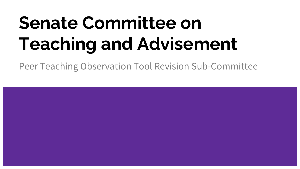# **Senate Committee on Teaching and Advisement**

Peer Teaching Observation Tool Revision Sub-Committee

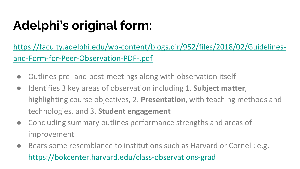## **Adelphi's original form:**

[https://faculty.adelphi.edu/wp-content/blogs.dir/952/files/2018/02/Guidelines](https://faculty.adelphi.edu/wp-content/blogs.dir/952/files/2018/02/Guidelines-and-Form-for-Peer-Observation-PDF-.pdf)and-Form-for-Peer-Observation-PDF-.pdf

- Outlines pre- and post-meetings along with observation itself
- Identifies 3 key areas of observation including 1. **Subject matter**, highlighting course objectives, 2. **Presentation**, with teaching methods and technologies, and 3. **Student engagement**
- Concluding summary outlines performance strengths and areas of improvement
- Bears some resemblance to institutions such as Harvard or Cornell: e.g. <https://bokcenter.harvard.edu/class-observations-grad>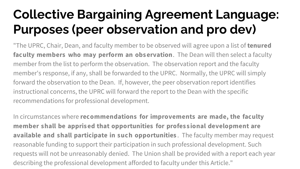### **Collective Bargaining Agreement Language: Purposes (peer observation and pro dev)**

"The UPRC, Chair, Dean, and faculty member to be observed will agree upon a list of **tenured faculty members who may perform an obs ervation**. The Dean will then select a faculty member from the list to perform the observation. The observation report and the faculty member's response, if any, shall be forwarded to the UPRC. Normally, the UPRC will simply forward the observation to the Dean. If, however, the peer observation report identifies instructional concerns, the UPRC will forward the report to the Dean with the specific recommendations for professional development.

In circumstances where **recommendations for improvements are made, the faculty member shall be appris ed that opportunities for profes s ional development are available and shall participate in such opportunities** . The faculty member may request reasonable funding to support their participation in such professional development. Such requests will not be unreasonably denied. The Union shall be provided with a report each year describing the professional development afforded to faculty under this Article."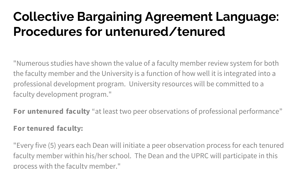### **Collective Bargaining Agreement Language: Procedures for untenured/tenured**

"Numerous studies have shown the value of a faculty member review system for both the faculty member and the University is a function of how well it is integrated into a professional development program. University resources will be committed to a faculty development program."

**For untenured faculty** "at least two peer observations of professional performance"

### **For tenured faculty:**

"Every five (5) years each Dean will initiate a peer observation process for each tenured faculty member within his/her school. The Dean and the UPRC will participate in this process with the faculty member."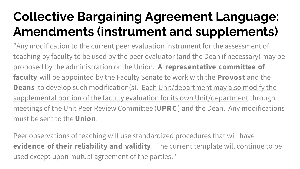### **Collective Bargaining Agreement Language: Amendments (instrument and supplements)**

"Any modification to the current peer evaluation instrument for the assessment of teaching by faculty to be used by the peer evaluator (and the Dean if necessary) may be proposed by the administration or the Union. **A repres entative committee of faculty** will be appointed by the Faculty Senate to work with the **Provos t** and the **Deans** to develop such modification(s). Each Unit/department may also modify the supplemental portion of the faculty evaluation for its own Unit/department through meetings of the Unit Peer Review Committee (**UPR C** ) and the Dean. Any modifications must be sent to the **Union**.

Peer observations of teaching will use standardized procedures that will have **evidence of their reliability and validity**. The current template will continue to be used except upon mutual agreement of the parties."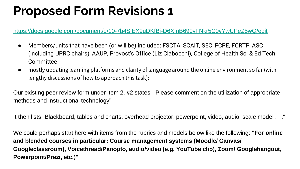### **Proposed Form Revisions 1**

#### <https://docs.google.com/document/d/10-7b4SiEX9uDKfBi-D6XmB690vFNkr5C0vYwUPeZ5wQ/edit>

- Members/units that have been (or will be) included: FSCTA, SCAIT, SEC, FCPE, FCRTP, ASC (including UPRC chairs), AAUP, Provost's Office (Liz Ciabocchi), College of Health Sci & Ed Tech Committee
- mostly updating learning platforms and clarity of language around the online environment so far (with lengthy discussions of how to approach this task):

Our existing peer review form under Item 2, #2 states: "Please comment on the utilization of appropriate methods and instructional technology"

It then lists "Blackboard, tables and charts, overhead projector, powerpoint, video, audio, scale model . . ."

We could perhaps start here with items from the rubrics and models below like the following: **"For online and blended courses in particular: Course management systems (Moodle/ Canvas/ Googleclassroom), Voicethread/Panopto, audio/video (e.g. YouTube clip), Zoom/ Googlehangout, Powerpoint/Prezi, etc.)"**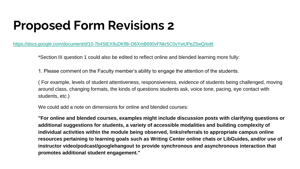### **Proposed Form Revisions 2**

<https://docs.google.com/document/d/10-7b4SiEX9uDKfBi-D6XmB690vFNkr5C0vYwUPeZ5wQ/edit>

\*Section III question 1 could also be edited to reflect online and blended learning more fully:

1. Please comment on the Faculty member's ability to engage the attention of the students.

( For example, levels of student attentiveness, responsiveness, evidence of students being challenged, moving around class, changing formats, the kinds of questions students ask, voice tone, pacing, eye contact with students, etc.)

We could add a note on dimensions for online and blended courses:

**"For online and blended courses, examples might include discussion posts with clarifying questions or additional suggestions for students, a variety of accessible modalities and building complexity of individual activities within the module being observed, links/referrals to appropriate campus online resources pertaining to learning goals such as Writing Center online chats or LibGuides, and/or use of instructor video/podcast/googlehangout to provide synchronous and asynchronous interaction that promotes additional student engagement."**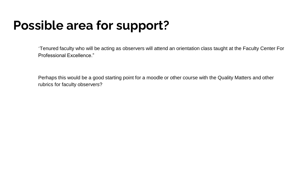### **Possible area for support?**

"Tenured faculty who will be acting as observers will attend an orientation class taught at the Faculty Center For Professional Excellence."

Perhaps this would be a good starting point for a moodle or other course with the Quality Matters and other rubrics for faculty observers?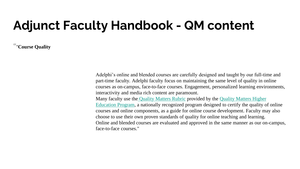### **Adjunct Faculty Handbook - QM content**

""**Course Quality**

Adelphi's online and blended courses are carefully designed and taught by our full-time and part-time faculty. Adelphi faculty focus on maintaining the same level of quality in online courses as on-campus, face-to-face courses. Engagement, personalized learning environments, interactivity and media rich content are paramount.

Many faculty use the [Quality Matters Rubric](https://www.qualitymatters.org/rubric) provided by the Quality Matters Higher [Education Program, a nationally recognized program designed to certify the quality o](https://www.qualitymatters.org/higher-education-program)f online courses and online components, as a guide for online course development. Faculty may also choose to use their own proven standards of quality for online teaching and learning. Online and blended courses are evaluated and approved in the same manner as our on-campus, face-to-face courses."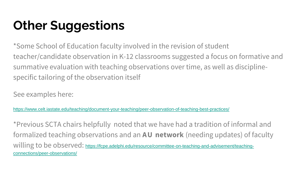## **Other Suggestions**

\*Some School of Education faculty involved in the revision of student teacher/candidate observation in K-12 classrooms suggested a focus on formative and summative evaluation with teaching observations over time, as well as disciplinespecific tailoring of the observation itself

See examples here:

<https://www.celt.iastate.edu/teaching/document-your-teaching/peer-observation-of-teaching-best-practices/>

\*Previous SCTA chairs helpfully noted that we have had a tradition of informal and formalized teaching observations and an **A U network** (needing updates) of faculty willing to be observed: [https://fcpe.adelphi.edu/resource/committee-on-teaching-and-advisement/teaching](https://fcpe.adelphi.edu/resource/committee-on-teaching-and-advisement/teaching-connections/peer-observations/)connections/peer-observations/